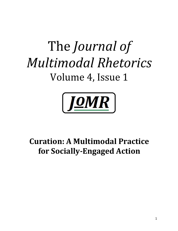# The *Journal of Multimodal Rhetorics* Volume 4, Issue 1



# **Curation: A Multimodal Practice for Socially-Engaged Action**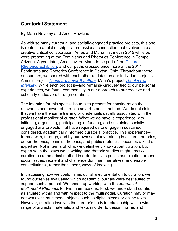## **Curatorial Statement**

By Maria Novotny and Ames Hawkins

As with so many curatorial and socially-engaged practice projects, this one is rooted in a relationship -- a professional connection that evolved into a creative-critical collaboration. Ames and Maria first met in 2015 while both were presenting at the Feminisms and Rhetorics Conference in Tempe, Arizona. A year later, Ames invited Maria to be part of the Cultural Rhetorics Exhibition, and our paths crossed once more at the 2017 Feminisms and Rhetorics Conference in Dayton, Ohio. Throughout these encounters, we shared with each other updates on our individual projects – Ames's project *These are Love(d) Letters*, Maria's project *The ART of Infertility*. While each project is--and remains--uniquely tied to our personal experiences, we found commonality in our approach to our creative and scholarly endeavors through curation.

The intention for this special issue is to present for consideration the relevance and power of curation as a rhetorical method. We do not claim that we have the same training or credentials usually associated with the professional moniker of curator. What we do have is experience with initiating, organizing, participating in, funding, and sustaining socially engaged arts projects that have required us to engage in sustained, considered, academically informed curatorial practice. This experience- framed with, through, and by our own scholarly training in cultural rhetorics, queer rhetorics, feminist rhetorics, and public rhetorics--becomes a kind of expertise. Not in terms of what we definitively know about curation, but expertise in the ways we in writing and rhetoric studies might practice curation as a rhetorical method in order to invite public participation around social issues, reorient and challenge dominant narratives, and enable constellational, rather than linear, ways of knowing.

In discussing how we could mimic our shared orientation to curation, we found ourselves evaluating which academic journals were best suited to support such a project. We ended up working with the *Journal of Multimodal Rhetorics* for two main reasons. First, we understand curation as situated within and with respect to the multimodal. Curation may or may not work with multimodal objects such as digital pieces or online texts. However, curation involves the curator's body in relationship with a wide range of artifacts, materials, and texts in order to design, frame, and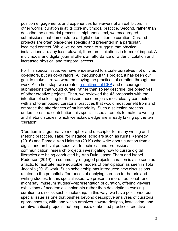position engagements and experiences for viewers of an exhibition. In other words, curation is at its core multimodal practice. Second, rather than describe the curatorial process in alphabetic text, we encouraged submissions that demonstrate a digital orientation to curation. Curated projects are often place-time specific and presented in a particular, localized context. While we do not mean to suggest that physical installations are any less relevant, there are limitations in terms of impact. A multimodal and digital journal offers an affordance of wider circulation and increased physical and temporal access.

For this special issue, we have endeavored to situate ourselves not only as co-editors, but as co-curators. All throughout this project, it has been our goal to make sure we were employing the practices of curation through our work. As a first step, we created a multimodal CFP and encouraged submissions that would curate, rather than solely describe, the objectives of other creative projects. Then, we reviewed the 43 proposals with the intention of selecting for the issue those projects most clearly connected with and to embodied curatorial practices that would most benefit from and embrace the affordances of multimodality. Such a selection process underscores the contribution this special issue attempts to make to writing and rhetoric studies, which we acknowledge are already taking up the term 'curation'.

'Curation' is a generative metaphor and descriptor for many writing and rhetoric practices. Take, for instance, scholars such as Krista Kennedy (2016) and Pamela Van Haitsma (2019) who write about curation from a digital and archival perspective. In technical and professional communication, research projects investigating how to curate digital literacies are being conducted by Ann Duin, Jason Tham and Isabel Pedersen (2019). In community-engaged projects, curation is also seen as a tactic to facilitate more equitable models of participation as seen in Tobi Jacabi's (2016) work. Such scholarship has introduced new discussions related to the potential affordances of applying curation to rhetoric and writing studies. In this special issue, we present a more traditional--one might say 'museum studies'--representation of curation, offering viewers exhibitions of academic scholarship rather than descriptions evoking curation to discuss such scholarship. In this way, we have positioned our special issue as one that pushes beyond descriptive analyses of curatorial approaches to, with, and within archives, toward designs, installation, and creative-critical projects that emphasize embodied practices, creative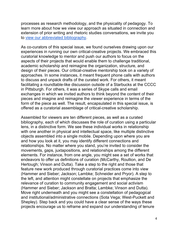processes as research methodology, and the physicality of pedagogy. To learn more about how we view our approach as situated in connection and extension of prior writing and rhetoric studies conversations, we invite you to view our abbreviated bibliography.

As co-curators of this special issue, we found ourselves drawing upon our experiences in running our own critical-creative projects. We embraced this curatorial knowledge to mentor and push our authors to focus on the aspects of their projects that would enable them to challenge traditional, academic scholarship and reimagine the organization, structure, and design of their pieces. Our critical-creative mentorship took on a variety of approaches. In some instances, it meant frequent phone calls with authors to discuss and unpack drafts of the curated work. For others, it meant facilitating a roundtable-like discussion outside of a Starbucks at the CCCC in Pittsburgh. For others, it was a series of Skype calls and email exchanges in which we invited authors to think beyond the content of their pieces and imagine and reimagine the viewer experience in terms of the form of the piece as well. The result, encapsulated in this special issue, is offered as a curatorial assemblage of critical-creative scholarship.

Assembled for viewers are ten different pieces, as well as a curated bibliography, each of which discusses the role of curation using a particular lens, in a distinctive form. We see these individual works in relationship with one another in physical and intellectual space, like multiple distinctive objects assembled into a single mobile. Depending upon where you are and how you look at it, you may identify different connections and relationships. No matter where you stand, you're invited to consider the movements, gaps, juxtapositions, and relationships among the different elements. For instance, from one angle, you might see a set of works that endeavors to offer us definitions of curation (McCarthy, Roullion, and De Hertough; Vinson and Dutta). Take a step to the right and those that feature new work produced through curatorial practices come into view (Hammer and Sieber; Jackson; Lambke; Schneider and Pryor). A step to the left, and attention might constellate on projects that emphasize the relevance of curation to community engagement and social activism (Hammer and Sieber; Jackson and Bratta; Lambke; Vinson and Dutta). Move right underneath and you might see a constellation of pedagogical and institutional/administrative connections (Sota Vega; West-Puckett and Shepley). Step back and you could have a clear sense of the ways these projects encourage us to reframe and expand our understanding of tenure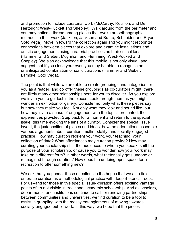and promotion to include curatorial work (McCarthy, Roullion, and De Hertough; West-Puckett and Shepley). Walk around from the perimeter and you may notice a thread among pieces that evoke autoethnographic methods in their work (Jackson; Jackson and Bratta; Schneider and Pryor; Soto Vega). Move in toward the collection again and you might recognize connections between pieces that explore and examine installations and artistic engagements using curatorial practices as their critical lens (Hammer and Sieber; Moynihan and Flemming; West-Puckett and Shepley). We also acknowledge that this mobile is not only visual, and suggest that if you close your eyes you may be able to recognize an unanticipated combination of sonic curations (Hammer and Sieber; Lambke; Soto Vega).

The point is that while we are able to create groupings and categories for you as a reader, and do offer these groupings as co-curators might, there are likely many other relationships here for you to discover. As you explore, we invite you to get lost in the pieces. Look through them as you might wander an exhibition or gallery. Consider not only what these pieces say, but how they make you feel. Not only what they look and sound like, but how they invite a sense of engagement with the topics presented, the experiences provided. Step back for a moment and return to the special issue, this time evoking the lens of a curator. Consider the special issue layout, the juxtaposition of pieces and ideas, how the orientations assemble various arguments about curation, multimodality, and socially-engaged practice. How may curation reorient your work, your teaching, your collection of data? What affordances may curation provide? How may curating your scholarship shift the audiences to whom you speak, shift the purpose of your scholarship, or cause you to wonder how your work may take on a different form? In other words, what rhetorically gets undone or reimagined through curation? How does the undoing open space for a recreation to offer something new?

We ask that you ponder these questions in the hopes that we as a field embrace curation as a methodological practice with deep rhetorical roots. For us--and for those in this special issue--curation offers exciting vantage points often not visible in traditional academic scholarship. And as scholars, departments, and institutions continue to call for renewing partnerships between communities and universities, we find curation to be a tool to assist in grappling with the messy entanglements of moving towards socially-engaged public work. In this way, we hope that the pieces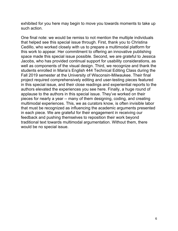exhibited for you here may begin to move you towards moments to take up such action.

One final note: we would be remiss to not mention the multiple individuals that helped see this special issue through. First, thank you to Christina Cedillo, who worked closely with us to prepare a multimodal platform for this work to appear. Her commitment to offering an innovative publishing space made this special issue possible. Second, we are grateful to Jessica Jacobs, who has provided continual support for usability considerations, as well as components of the visual design. Third, we recognize and thank the students enrolled in Maria's English 444 Technical Editing Class during the Fall 2019 semester at the University of Wisconsin-Milwaukee. Their final project required comprehensively editing and user-testing pieces featured in this special issue, and their close readings and experiential reports to the authors elevated the experiences you see here. Finally, a huge round of applause to the authors in this special issue. They've worked on their pieces for nearly a year -- many of them designing, coding, and creating multimodal experiences. This, we as curators know, is often invisible labor that must be recognized as influencing the academic arguments presented in each piece. We are grateful for their engagement in receiving our feedback and pushing themselves to reposition their work beyond traditional text towards multimodal argumentation. Without them, there would be no special issue.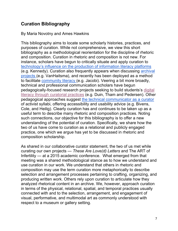# **Curation Bibliography**

By Maria Novotny and Ames Hawkins

This bibliography aims to locate some scholarly histories, practices, and purposes of curation. While not comprehensive, we view this short bibliography as a methodological reorientation for the discipline of rhetoric and composition. Curation in rhetoric and composition is not new. For instance, scholars have begun to critically situate and apply curation to technology's influence on the production of information literacy platforms (e.g. Kennedy). Curation also frequently appears when discussing archival projects (e.g. VanHaitsma), and recently has been deployed as a method to facilitate community literacy (e.g. Jacobi). Veering a bit more broadly, technical and professional communication scholars have begun pedagogically-focused research projects seeking to build students's digital literacy through curatorial practices (e.g. Duin, Tham and Pedersen). Other pedagogical approaches suggest the technical communicator as a curator of activist syllabi, offering accessibility and usability advice (e.g. Bivens, Cole, and Heilig). Clearly curation has and continues to be taken up as a useful term to describe many rhetoric and composition practices. Noting such connections, our objective for this bibliography is to offer a new understanding of the potential of curation. Specifically, we share how the two of us have come to curation as a relational and publicly engaged practice, one which we argue has yet to be discussed in rhetoric and composition scholarship.

As shared in our collaborative curator statement, the two of us met while curating our own projects — *These Are Love(d) Letters* and The ART of Infertility — at a 2015 academic conference. What emerged from that meeting was a shared methodological stance as to how we understand and use curation in our work. We understand that others in rhetoric and composition may use the term curation more metaphorically to describe selection and arrangement processes pertaining to crafting, organizing, and producing written work. Others rely upon curation to articulate how they analyzed rhetorical content in an archive. We, however, approach curation in terms of the physical, relational, spatial, and temporal practices usually connected with and to the selection, arrangement, and engagement of visual, performative, and multimodal art as commonly understood with respect to a museum or gallery setting.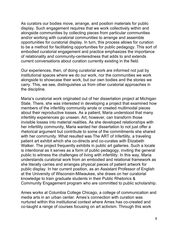As curators our bodies move, arrange, and position materials for public display. Such engagement requires that we work collectively within and alongside communities by collecting pieces from particular communities and/or working with curatorial communities to arrange and assemble opportunities for curatorial display. In turn, this process allows for curation to be a method for facilitating opportunities for public pedagogy. This sort of embodied curatorial engagement and practice emphasizes the importance of relationality and community-centeredness that adds to and extends current conversations about curation currently existing in the field.

Our experiences, then, of doing curatorial work are informed not just by institutional spaces where we do our work, nor the communities we work alongside to showcase their work, but our own bodies and the stories we carry. This, we see, distinguishes us from other curatorial approaches in the discipline.

Maria's curatorial work originated out of her dissertation project at Michigan State. There, she was interested in developing a project that examined how members of the infertility community wrote or created multimodal pieces about their reproductive losses. As a patient, Maria understood that many infertility experiences go unseen. Art, however, can transform those invisible losses into material realities. As she developed relationships with her infertility community, Maria wanted her dissertation to not just offer a rhetorical argument but contribute to some of the commitments she shared with her community. What resulted was The ART of Infertility, a traveling patient art exhibit which she co-directs and co-curates with Elizabeth Walker. The project frequently exhibits in public art galleries. Such a locale is intentional as it serves as a form of public pedagogy, inviting the general public to witness the challenges of living with infertility. In this way, Maria understands curatorial work from an embodied and relational framework as she literally carries and arranges physical pieces of patient artwork for public display. In her current position, as an Assistant Professor of English at the University of Wisconsin-Milwaukee, she draws on her curatorial knowledge to train graduate students in their Public Rhetorics & Community Engagement program who are committed to public scholarship.

Ames works at Columbia College Chicago, a college of communication and media arts in an urban center. Ames's connection with curation was nurtured within this institutional context where Ames has co-created and co-taught a range of courses focusing on art activism. Through this work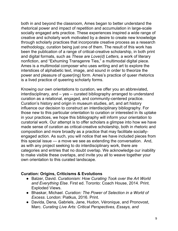both in and beyond the classroom, Ames began to better understand the rhetorical power and impact of repetition and accumulation in large-scale socially engaged arts practice. These experiences inspired a wide range of creative and scholarly work motivated by a desire to create new knowledge through scholarly practices that incorporate creative process as a research methodology, curation being just one of them. The result of this work has been the publication of a range of critical-creative scholarship, in both print and digital formats, such as *These are Love(d) Letters,* a work of literary nonfiction, and "Exhuming Transgenre Ties," a multimodal digital piece. Ames is a multimodal composer who uses writing and art to explore the interstices of alphabetic text, image, and sound in order to theorize the power and pleasure of queer(ing) form. Ames's practice of queer rhetorics is a lived practice of queering scholarly forms.

Knowing our own orientations to curation, we offer you an abbreviated, interdisciplinary, and – yes -- curated bibliography arranged to understand curation as a relational, engaged, and community-centered practice. Curation's history and origin in museum studies, art, and art history influence our decision to construct an interdisciplinary bibliography. For those new to this particular orientation to curation or interested in its uptake in your practices, we hope this bibliography will inform your orientation to curatorial work. Our attempt is to offer scholars a glimpse into how we have made sense of curation as critical-creative scholarship, both in rhetoric and composition and more broadly as a practice that may facilitate sociallyengaged action. As such, you will notice that we have included pieces from this special issue — a move we see as extending the conversation. And, as with any project seeking to do interdisciplinary work, there are categories and entries that no doubt overlap. We acknowledge our inability to make visible these overlaps, and invite you all to weave together your own orientation to this curated landscape.

#### **Curation: Origins, Criticisms & Evolutions**

- Balzer, David. *Curationism: How Curating Took over the Art World and Everything Else*. First ed. Toronto: Coach House, 2014. Print. Exploded Views.
- Bhaskar, Michael. *Curation: The Power of Selection in a World of Excess*. London: Piatkus, 2016. Print.
- Davida, Dena, Gabriels, Jane, Hudon, Véronique, and Pronovost, Marc. *Curating Live Arts: Critical Perspectives, Essays, and*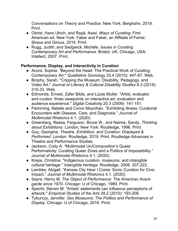*Conversations on Theory and Practice*. New York: Berghahn, 2019. Print.

- Obrist, Hans Ulrich, and Raz̤ā, Asad. *Ways of Curating*. First American ed. New York: Faber and Faber, an Affiliate of Farrar, Straus and Giroux, 2014. Print.
- Rugg, Judith, and Sedgwick, Michèle. *Issues in Curating Contemporary Art and Performance*. Bristol, UK; Chicago, USA: Intellect, 2007. Print.

#### **Performance, Display, and Interactivity in Curation**

- Acord, Sophia. "Beyond the Head: The Practical Work of Curating Contemporary Art." *Qualitative Sociology* 33.4 (2010): 447-67. Web.
- Brophy, Sarah. "Cripping the Museum: Disability, Pedagogy, and Video Art." *Journal of Literary & Cultural Disability Studies* 8.3 (2014): 315-33. Web.
- Edmonds, Ernest, Zafer Bilda, and Lizzie Muller. "Artist, evaluator and curator: three viewpoints on interactive art, evaluation and audience experience." *Digital Creativity* 20.3 (2009): 141-151.
- Flemming, Natalie and Conor Moynihan. "Exhibiting Illness: Curatorial Encounters with Disease, Care, and Diagnosis." *Journal of Multimodal Rhetorics* 4.1. (2020).
- Greenberg, Reesa, Ferguson, Bruce W., and Nairne, Sandy. *Thinking about Exhibitions*. London; New York: Routledge, 1996. Print.
- Guy, Georgina. *Theatre, Exhibition, and Curation: Displayed & Performed*. London: Routledge, 2019. Print. Routledge Advances in Theatre and Performance Studies.
- Jackson, Cody A. "Multimodal Un/Composition's Queer Performativity: Curating Queer Zines and a Politics of Impossibility." *Journal of Multimodal Rhetorics* 4.1. (2020).
- Kreps, Christina. "Indigenous curation, museums, and intangible cultural heritage." *Intangible heritage*. Routledge, 2008. 207-222.
- Lambke, Abigail. "Kansas City Hear I Come: Sonic Curation for Civic Impact." *Journal of Multimodal Rhetorics* 4.1. (2020).
- Sayre, Henry M. *The Object of Performance: The American Avantgarde since 1970*. Chicago: U of Chicago, 1989. Print.
- Specht, Steven M. "Artists' statements can influence perceptions of artwork." *Empirical Studies of the Arts* 28.2 (2010): 193-206.
- Tyburczy, Jennifer. *Sex Museums: The Politics and Performance of Display*. Chicago: U of Chicago, 2016. Print.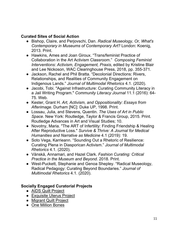#### **Curated Sites of Social Action**

- Bishop, Claire, and Perjovschi, Dan. *Radical Museology, Or, What's Contemporary in Museums of Contemporary Art?* London: Koenig, 2013. Print.
- Hawkins, Ames and Joan Giroux. "Trans/feminist Practice of Collaboration in the Art Activism Classroom." *Composing Feminist Interventions: Activism, Engagement, Praxis*, edited by Kristine Blair and Lee Nickoson, WAC Clearinghouse Press, 2018, pp. 355-371.
- Jackson, Rachel and Phil Bratta. "Decolonial Directions: Rivers, Relationships, and Realities of Community Engagement on Indigenous Lands." *Journal of Multimodal Rhetorics* 4.1. (2020).
- Jacobi, Tobi. "Against Infrastructure: Curating Community Literacy in a Jail Writing Program." *Community Literacy Journal* 11.1 (2016): 64- 75. Web.
- Kester, Grant H. *Art, Activism, and Oppositionality: Essays from Afterimage*. Durham [NC]: Duke UP, 1998. Print.
- Lossau, Julia, and Stevens, Quentin. *The Uses of Art in Public Space*. New York: Routledge, Taylor & Francis Group, 2015. Print. Routledge Advances in Art and Visual Studies; 10.
- Novotny, Maria. "The ART of Infertility: Finding Friendship & Healing After Reproductive Loss." *Survive & Thrive: A Journal for Medical Humanities and Narrative as Medicine* 4.1 (2019): 19.
- Soto Vega, Karrieann. "Sounding Out a Rhetoric of Resilience: Curating Plena in Diasporican Activism." *Journal of Multimodal Rhetorics* 4.1. (2020).
- Vänskä, Annamari, and Hazel Clark. *Fashion Curating: Critical Practice in the Museum and Beyond*. 2018. Print.
- West-Puckett, Stephanie and Genoa Shepley. "Radical Museology, Radical Pedagogy: Curating Beyond Boundaries." *Journal of Multimodal Rhetorics* 4.1. (2020).

#### **Socially Engaged Curatorial Projects**

- AIDS Quilt Project
- Exquisite Uterus Project
- Migrant Quilt Project
- One Million Bones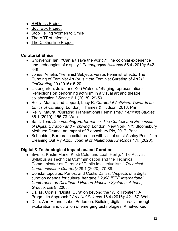- REDress Project
- Soul Box Project
- Stop Telling Women to Smile
- The ART of Infertility
- The Clothesline Project

#### **Curatorial Ethics**

- Grosvenor, Ian. "'Can art save the world?' The colonial experience and pedagogies of display." *Paedagogica Historica* 55.4 (2019): 642- 649.
- Jones, Amelia. "Feminist Subjects versus Feminist Effects: The Curating of Feminist Art (or is it the Feminist Curating of Art?)." *OnCurating* 29 (2016): 5-20.
- Listengarten, Julia, and Keri Watson. "Staging representations: Reflections on performing activism in a visual art and theatre collaboration." *Scene* 6.1 (2018): 29-50.
- Reilly, Maura, and Lippard, Lucy R. *Curatorial Activism: Towards an Ethics of Curating*. London]: Thames & Hudson, 2018. Print.
- Reilly, Maura. "Curating Transnational Feminisms." *Feminist Studies* 36.1 (2010): 156-73. Web.
- Sant, Toni. *Documenting Performance: The Context and Processes of Digital Curation and Archiving*. London; New York, NY: Bloomsbury Methuen Drama, an Imprint of Bloomsbury Plc, 2017. Print.
- Schneider, Barbara in collaboration with visual artist Ashley Prior. "I'm Cleaning Out My Attic." *Journal of Multimodal Rhetorics* 4.1. (2020).

#### **Digital & Technological Impact on/and Curation**

- Bivens, Kristin Marie, Kirsti Cole, and Leah Heilig. "The Activist Syllabus as Technical Communication and the Technical Communicator as Curator of Public Intellectualism." *Technical Communication Quarterly* 29.1 (2020): 70-89.
- Constantopoulos, Panos, and Costis Dallas. "Aspects of a digital curation agenda for cultural heritage." *2008 IEEE International Conference on Distributed Human-Machine Systems. Athens, Greece: IEEE*. 2008.
- Dallas, Costis. "Digital Curation beyond the "Wild Frontier": A Pragmatic Approach." *Archival Science* 16.4 (2016): 421-57. Web.
- Duin, Ann H. and Isabel Pedersen. Building digital literacy through exploration and curation of emerging technologies: A networked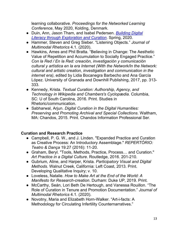learning collaborative. *Proceedings for the Networked Learning Conference*, May 2020, Kolding, Denmark.

- Duin, Ann, Jason Tham, and Isabel Pedersen. *Building Digital Literacy through Exploration and Curation*. Spring, 2020.
- Hammer, Steven and Greg Sieber. "Listening Objects." *Journal of Multimodal Rhetorics* 4.1. (2020).
- Hawkins, Ames and Phil Bratta. "Believing in Change: The Aesthetic Value of Repetition and Accumulation to Socially Engaged Practice." *Con la Red / En la Red: creación, investigación y comunicación cultural y artística en la era Internet (With the Network/In the Network: cultural and artistic creation, investigation and communication in the internet era)*, edited by Lidia Bocanegra Barbecho and Ana García López. University of Granada and Downhill Publishing, 2017, pp. 313- 333.
- Kennedy, Krista. *Textual Curation: Authorship, Agency, and Technology in Wikipedia and Chambers's Cyclopædia*. Columbia, SC: U of South Carolina, 2016. Print. Studies in Rhetoric/communication.
- Sabharwal, Arjun. *Digital Curation in the Digital Humanities: Preserving and Promoting Archival and Special Collections*. Waltham, MA: Chandos, 2015. Print. Chandos Information Professional Ser.

#### **Curation and Research Practice**

- Campbell, P. G. W., and J. Linden. "Expanded Practice and Curation as Creative Process: An Introductory Assemblage." *REPERTÓRIO: Teatro & Dança* 19.27 (2016): 11-20.
- Graham, Beryl. "Tools, Methods, Practice, Process… and Curation." *Art Practice in a Digital Culture*. Routledge, 2016. 201-210.
- Gubrium, Aline, and Harper, Krista. *Participatory Visual and Digital Methods*. Walnut Creek, California: Left Coast, 2013. Print. Developing Qualitative Inquiry; v. 10.
- Loveless, Natalie. *How to Make Art at the End of the World: A Manifesto for Research-creation*. Durham: Duke UP, 2019. Print.
- McCarthy, Seán, Lori Beth De Hertough, and Vanessa Rouillon. "The Role of Curation in Tenure and Promotion Documentation." *Journal of Multimodal Rhetorics* 4.1. (2020).
- Novotny, Maria and Elizabeth Horn-Walker. "Art-i-facts: A Methodology for Circulating Infertility Counternarratives."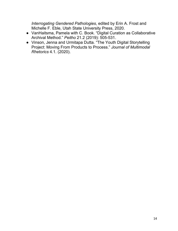*Interrogating Gendered Pathologies*, edited by Erin A. Frost and Michelle F. Eble, Utah State University Press, 2020.

- VanHaitsma, Pamela with C. Book. "Digital Curation as Collaborative Archival Method." *Peitho* 21.2 (2019): 505-531.
- Vinson, Jenna and Urmitapa Dutta. "The Youth Digital Storytelling Project: Moving From Products to Process." *Journal of Multimodal Rhetorics* 4.1. (2020).